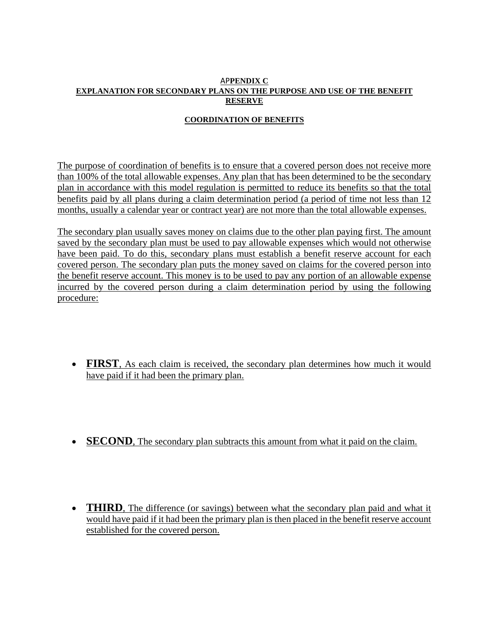## AP**PENDIX C EXPLANATION FOR SECONDARY PLANS ON THE PURPOSE AND USE OF THE BENEFIT RESERVE**

## **COORDINATION OF BENEFITS**

The purpose of coordination of benefits is to ensure that a covered person does not receive more than 100% of the total allowable expenses. Any plan that has been determined to be the secondary plan in accordance with this model regulation is permitted to reduce its benefits so that the total benefits paid by all plans during a claim determination period (a period of time not less than 12 months, usually a calendar year or contract year) are not more than the total allowable expenses.

The secondary plan usually saves money on claims due to the other plan paying first. The amount saved by the secondary plan must be used to pay allowable expenses which would not otherwise have been paid. To do this, secondary plans must establish a benefit reserve account for each covered person. The secondary plan puts the money saved on claims for the covered person into the benefit reserve account. This money is to be used to pay any portion of an allowable expense incurred by the covered person during a claim determination period by using the following procedure:

- **FIRST**, As each claim is received, the secondary plan determines how much it would have paid if it had been the primary plan.
- **SECOND**, The secondary plan subtracts this amount from what it paid on the claim.
- **THIRD**, The difference (or savings) between what the secondary plan paid and what it would have paid if it had been the primary plan is then placed in the benefit reserve account established for the covered person.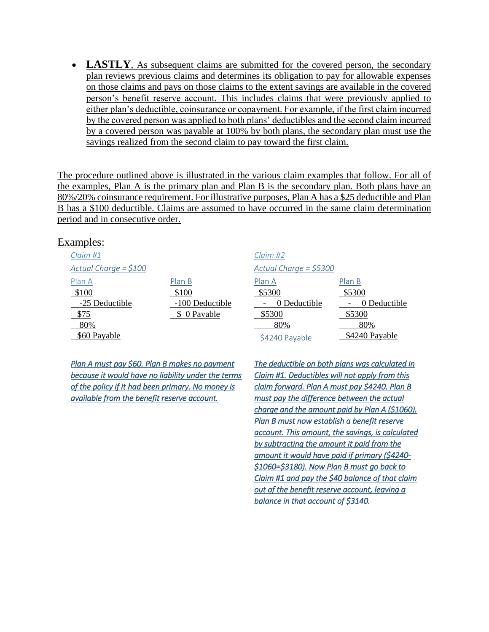• **LASTLY**, As subsequent claims are submitted for the covered person, the secondary plan reviews previous claims and determines its obligation to pay for allowable expenses on those claims and pays on those claims to the extent savings are available in the covered person's benefit reserve account. This includes claims that were previously applied to either plan's deductible, coinsurance or copayment. For example, if the first claim incurred by the covered person was applied to both plans' deductibles and the second claim incurred by a covered person was payable at 100% by both plans, the secondary plan must use the savings realized from the second claim to pay toward the first claim.

The procedure outlined above is illustrated in the various claim examples that follow. For all of the examples, Plan A is the primary plan and Plan B is the secondary plan. Both plans have an 80%/20% coinsurance requirement. For illustrative purposes, Plan A has a \$25 deductible and Plan B has a \$100 deductible. Claims are assumed to have occurred in the same claim determination period and in consecutive order.

## Examples:

| Claim#1                |                 | Claim#2                 |                |
|------------------------|-----------------|-------------------------|----------------|
| Actual Charge = $$100$ |                 | Actual Charge = $$5300$ |                |
| Plan A                 | Plan B          | Plan A                  | Plan B         |
| \$100                  | \$100           | \$5300                  | \$5300         |
| -25 Deductible         | -100 Deductible | 0 Deductible            | 0 Deductible   |
| \$75                   | \$ 0 Payable    | \$5300                  | \$5300         |
| 80%                    |                 | 80%                     | 80%            |
| \$60 Payable           |                 | \$4240 Payable          | \$4240 Payable |

*Plan A must pay \$60. Plan B makes no payment because it would have no liability under the terms of the policy if it had been primary. No money is available from the benefit reserve account.* 

*The deductible on both plans was calculated in Claim #1. Deductibles will not apply from this claim forward. Plan A must pay \$4240. Plan B must pay the difference between the actual charge and the amount paid by Plan A (\$1060). Plan B must now establish a benefit reserve account. This amount, the savings, is calculated by subtracting the amount it paid from the amount it would have paid if primary (\$4240- \$1060=\$3180). Now Plan B must go back to Claim #1 and pay the \$40 balance of that claim out of the benefit reserve account, leaving a balance in that account of \$3140.*